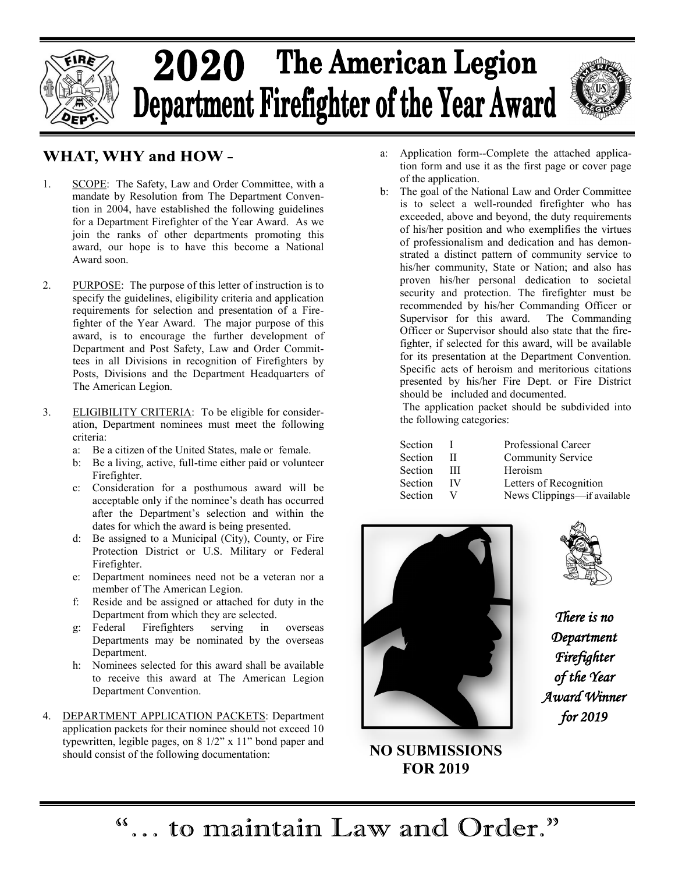

# 2020 The American Legion Department Firefighter of the Year Award



#### **WHAT, WHY and HOW-**

- 1. SCOPE: The Safety, Law and Order Committee, with a mandate by Resolution from The Department Convention in 2004, have established the following guidelines for a Department Firefighter of the Year Award. As we join the ranks of other departments promoting this award, our hope is to have this become a National Award soon.
- 2. PURPOSE: The purpose of this letter of instruction is to specify the guidelines, eligibility criteria and application requirements for selection and presentation of a Firefighter of the Year Award. The major purpose of this award, is to encourage the further development of Department and Post Safety, Law and Order Committees in all Divisions in recognition of Firefighters by Posts, Divisions and the Department Headquarters of The American Legion.
- 3. ELIGIBILITY CRITERIA: To be eligible for consideration, Department nominees must meet the following criteria:
	- a: Be a citizen of the United States, male or female.
	- b: Be a living, active, full-time either paid or volunteer Firefighter.
	- c: Consideration for a posthumous award will be acceptable only if the nominee's death has occurred after the Department's selection and within the dates for which the award is being presented.
	- d: Be assigned to a Municipal (City), County, or Fire Protection District or U.S. Military or Federal Firefighter.
	- e: Department nominees need not be a veteran nor a member of The American Legion.
	- f: Reside and be assigned or attached for duty in the Department from which they are selected.
	- g: Federal Firefighters serving in overseas Departments may be nominated by the overseas Department.
	- h: Nominees selected for this award shall be available to receive this award at The American Legion Department Convention.
- 4. DEPARTMENT APPLICATION PACKETS: Department application packets for their nominee should not exceed 10 typewritten, legible pages, on 8 1/2" x 11" bond paper and should consist of the following documentation:
- a: Application form--Complete the attached application form and use it as the first page or cover page of the application.
- b: The goal of the National Law and Order Committee is to select a well-rounded firefighter who has exceeded, above and beyond, the duty requirements of his/her position and who exemplifies the virtues of professionalism and dedication and has demonstrated a distinct pattern of community service to his/her community, State or Nation; and also has proven his/her personal dedication to societal security and protection. The firefighter must be recommended by his/her Commanding Officer or Supervisor for this award. The Commanding Officer or Supervisor should also state that the firefighter, if selected for this award, will be available for its presentation at the Department Convention. Specific acts of heroism and meritorious citations presented by his/her Fire Dept. or Fire District should be included and documented.

The application packet should be subdivided into the following categories:

| Section | ı  |
|---------|----|
| Section | Н  |
| Section | Ш  |
| Section | IV |
| Section |    |

Professional Career Community Service Heroism Letters of Recognition News Clippings—if available



**NO SUBMISSIONS FOR 2019**

*There is no Department Firefighter of the Year Award Winner for 2019*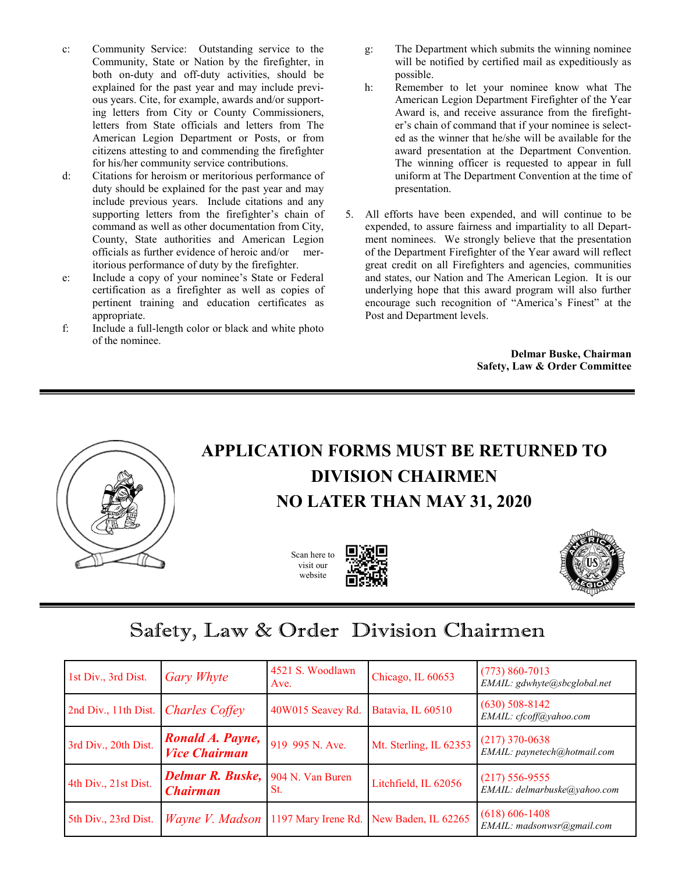- c: Community Service: Outstanding service to the Community, State or Nation by the firefighter, in both on-duty and off-duty activities, should be explained for the past year and may include previous years. Cite, for example, awards and/or supporting letters from City or County Commissioners, letters from State officials and letters from The American Legion Department or Posts, or from citizens attesting to and commending the firefighter for his/her community service contributions.
- d: Citations for heroism or meritorious performance of duty should be explained for the past year and may include previous years. Include citations and any supporting letters from the firefighter's chain of command as well as other documentation from City, County, State authorities and American Legion officials as further evidence of heroic and/or meritorious performance of duty by the firefighter.
- e: Include a copy of your nominee's State or Federal certification as a firefighter as well as copies of pertinent training and education certificates as appropriate.
- f: Include a full-length color or black and white photo of the nominee.
- g: The Department which submits the winning nominee will be notified by certified mail as expeditiously as possible.
- h: Remember to let your nominee know what The American Legion Department Firefighter of the Year Award is, and receive assurance from the firefighter's chain of command that if your nominee is selected as the winner that he/she will be available for the award presentation at the Department Convention. The winning officer is requested to appear in full uniform at The Department Convention at the time of presentation.
- 5. All efforts have been expended, and will continue to be expended, to assure fairness and impartiality to all Department nominees. We strongly believe that the presentation of the Department Firefighter of the Year award will reflect great credit on all Firefighters and agencies, communities and states, our Nation and The American Legion. It is our underlying hope that this award program will also further encourage such recognition of "America's Finest" at the Post and Department levels.

**Delmar Buske, Chairman Safety, Law & Order Committee**



#### **APPLICATION FORMS MUST BE RETURNED TO DIVISION CHAIRMEN NO LATER THAN MAY 31, 2020**

Scan here to visit our website





### Safety, Law & Order Division Chairmen

| 1st Div., 3rd Dist.                        | <b>Gary Whyte</b>                          | 4521 S. Woodlawn<br>Ave. | Chicago, IL 60653      | $(773) 860 - 7013$<br>EMAIL: gdwhyte@sbcglobal.net |
|--------------------------------------------|--------------------------------------------|--------------------------|------------------------|----------------------------------------------------|
| 2nd Div., 11th Dist. <i>Charles Coffey</i> |                                            | 40W015 Seavey Rd.        | Batavia, IL 60510      | $(630)$ 508-8142<br>EMAIL: cfcoff@yahoo.com        |
| 3rd Div., 20th Dist.                       | Ronald A. Payne,<br><b>Vice Chairman</b>   | 919 995 N. Ave.          | Mt. Sterling, IL 62353 | $(217)$ 370-0638<br>EMAIL: paynetech@hotmail.com   |
| 4th Div., 21st Dist.                       | <b>Delmar R. Buske,</b><br><b>Chairman</b> | 904 N. Van Buren<br>St.  | Litchfield, IL 62056   | $(217) 556 - 9555$<br>EMAIL: delmarbuske@yahoo.com |
| 5th Div., 23rd Dist.                       | <i>Wayne V. Madson</i>                     | 1197 Mary Irene Rd.      | New Baden, IL 62265    | $(618) 606 - 1408$<br>EMAIL: madsonwsr@gmail.com   |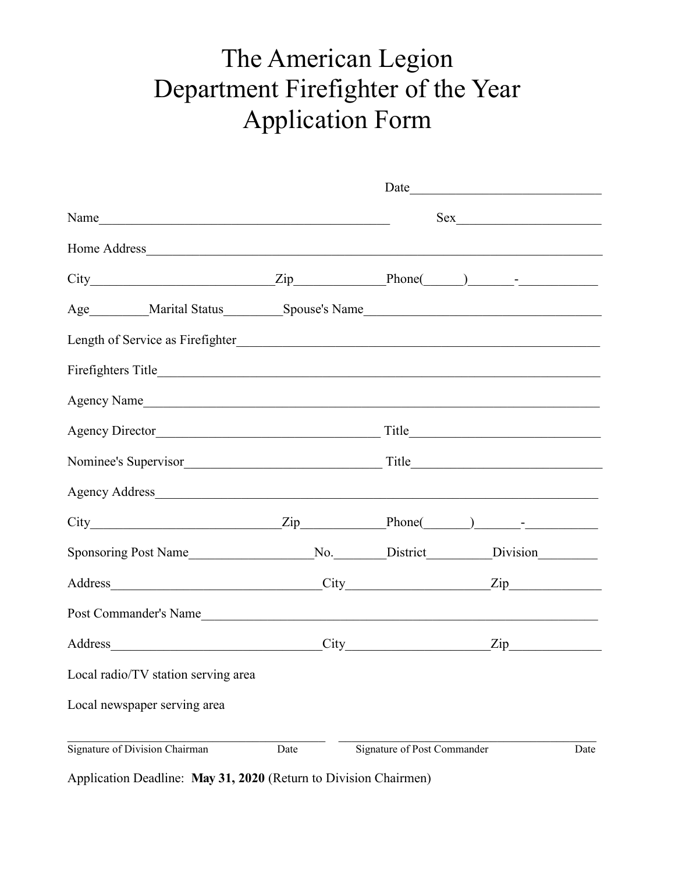## The American Legion Department Firefighter of the Year Application Form

|                                                  |      | Date                        |     |      |  |
|--------------------------------------------------|------|-----------------------------|-----|------|--|
| Name                                             |      |                             | Sex |      |  |
|                                                  |      |                             |     |      |  |
| $City$ $Zip$ $Phone$ $)$ $-I$                    |      |                             |     |      |  |
|                                                  |      |                             |     |      |  |
|                                                  |      |                             |     |      |  |
| Firefighters Title <b>Exercise Exercise 2018</b> |      |                             |     |      |  |
|                                                  |      |                             |     |      |  |
| Agency Director                                  |      |                             |     |      |  |
|                                                  |      |                             |     |      |  |
|                                                  |      |                             |     |      |  |
| $City$ Phone( ) - Phone( ) - Phone               |      |                             |     |      |  |
|                                                  |      |                             |     |      |  |
| Address City Zip                                 |      |                             |     |      |  |
| Post Commander's Name                            |      |                             |     |      |  |
| Address City Zip                                 |      |                             |     |      |  |
| Local radio/TV station serving area              |      |                             |     |      |  |
| Local newspaper serving area                     |      |                             |     |      |  |
| Signature of Division Chairman                   | Date | Signature of Post Commander |     | Date |  |

Application Deadline: **May 31, 2020** (Return to Division Chairmen)